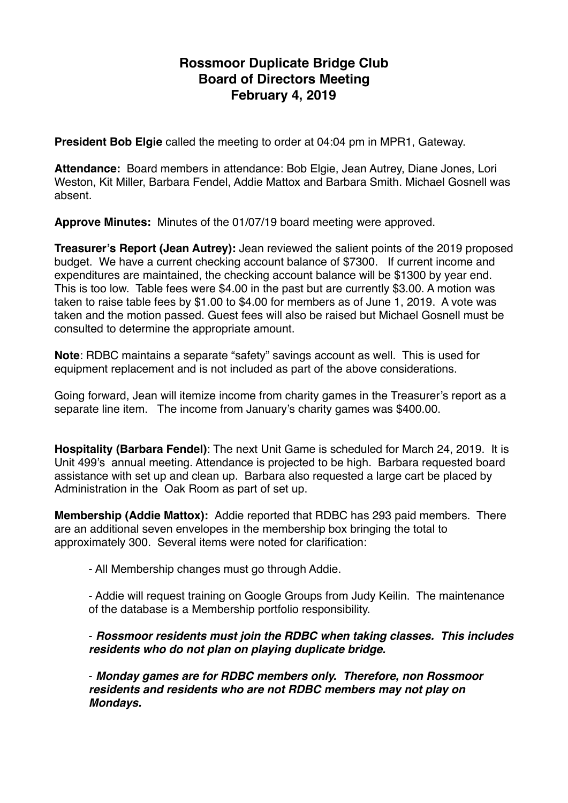# **Rossmoor Duplicate Bridge Club Board of Directors Meeting February 4, 2019**

**President Bob Elgie** called the meeting to order at 04:04 pm in MPR1, Gateway.

**Attendance:** Board members in attendance: Bob Elgie, Jean Autrey, Diane Jones, Lori Weston, Kit Miller, Barbara Fendel, Addie Mattox and Barbara Smith. Michael Gosnell was absent.

**Approve Minutes:** Minutes of the 01/07/19 board meeting were approved.

**Treasurer's Report (Jean Autrey):** Jean reviewed the salient points of the 2019 proposed budget. We have a current checking account balance of \$7300. If current income and expenditures are maintained, the checking account balance will be \$1300 by year end. This is too low. Table fees were \$4.00 in the past but are currently \$3.00. A motion was taken to raise table fees by \$1.00 to \$4.00 for members as of June 1, 2019. A vote was taken and the motion passed. Guest fees will also be raised but Michael Gosnell must be consulted to determine the appropriate amount.

**Note**: RDBC maintains a separate "safety" savings account as well. This is used for equipment replacement and is not included as part of the above considerations.

Going forward, Jean will itemize income from charity games in the Treasurer's report as a separate line item. The income from January's charity games was \$400.00.

**Hospitality (Barbara Fendel)**: The next Unit Game is scheduled for March 24, 2019. It is Unit 499's annual meeting. Attendance is projected to be high. Barbara requested board assistance with set up and clean up. Barbara also requested a large cart be placed by Administration in the Oak Room as part of set up.

**Membership (Addie Mattox):** Addie reported that RDBC has 293 paid members. There are an additional seven envelopes in the membership box bringing the total to approximately 300. Several items were noted for clarification:

- All Membership changes must go through Addie.

- Addie will request training on Google Groups from Judy Keilin. The maintenance of the database is a Membership portfolio responsibility.

# - *Rossmoor residents must join the RDBC when taking classes. This includes residents who do not plan on playing duplicate bridge.*

- *Monday games are for RDBC members only. Therefore, non Rossmoor residents and residents who are not RDBC members may not play on Mondays.*